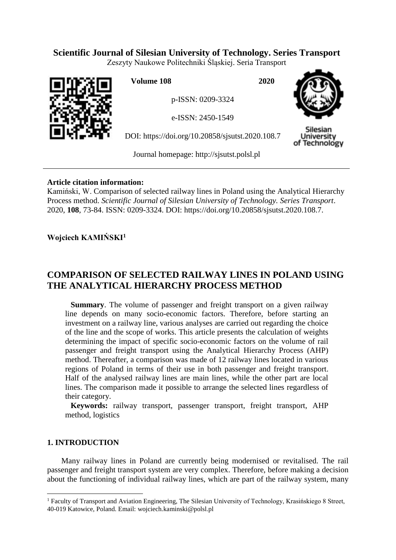# **Scientific Journal of Silesian University of Technology. Series Transport**

Zeszyty Naukowe Politechniki Śląskiej. Seria Transport



**Volume 108 2020**

p-ISSN: 0209-3324

e-ISSN: 2450-1549

DOI: https://doi.org/10.20858/sjsutst.2020.108.7



Silesiar Jniversitv of Technology

Journal homepage: [http://sjsutst.polsl.pl](http://sjsutst.polsl.pl/)

## **Article citation information:**

Kamiński, W. Comparison of selected railway lines in Poland using the Analytical Hierarchy Process method. *Scientific Journal of Silesian University of Technology. Series Transport*. 2020, **108**, 73-84. ISSN: 0209-3324. DOI: https://doi.org/10.20858/sjsutst.2020.108.7.

**Wojciech KAMIŃSKI<sup>1</sup>**

# **COMPARISON OF SELECTED RAILWAY LINES IN POLAND USING THE ANALYTICAL HIERARCHY PROCESS METHOD**

**Summary**. The volume of passenger and freight transport on a given railway line depends on many socio-economic factors. Therefore, before starting an investment on a railway line, various analyses are carried out regarding the choice of the line and the scope of works. This article presents the calculation of weights determining the impact of specific socio-economic factors on the volume of rail passenger and freight transport using the Analytical Hierarchy Process (AHP) method. Thereafter, a comparison was made of 12 railway lines located in various regions of Poland in terms of their use in both passenger and freight transport. Half of the analysed railway lines are main lines, while the other part are local lines. The comparison made it possible to arrange the selected lines regardless of their category.

**Keywords:** railway transport, passenger transport, freight transport, AHP method, logistics

# **1. INTRODUCTION**

 $\overline{a}$ 

Many railway lines in Poland are currently being modernised or revitalised. The rail passenger and freight transport system are very complex. Therefore, before making a decision about the functioning of individual railway lines, which are part of the railway system, many

<sup>&</sup>lt;sup>1</sup> Faculty of Transport and Aviation Engineering, The Silesian University of Technology, Krasińskiego 8 Street, 40-019 Katowice, Poland. Email: wojciech.kaminski@polsl.pl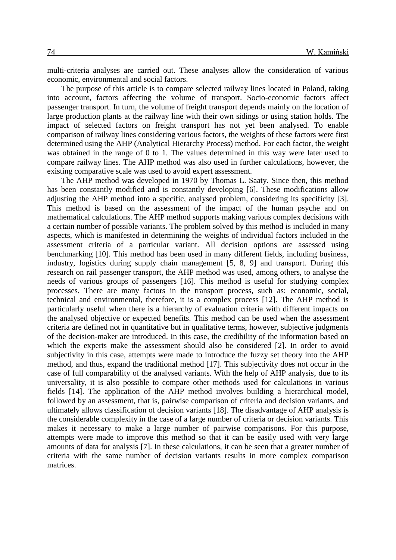multi-criteria analyses are carried out. These analyses allow the consideration of various economic, environmental and social factors.

The purpose of this article is to compare selected railway lines located in Poland, taking into account, factors affecting the volume of transport. Socio-economic factors affect passenger transport. In turn, the volume of freight transport depends mainly on the location of large production plants at the railway line with their own sidings or using station holds. The impact of selected factors on freight transport has not yet been analysed. To enable comparison of railway lines considering various factors, the weights of these factors were first determined using the AHP (Analytical Hierarchy Process) method. For each factor, the weight was obtained in the range of 0 to 1. The values determined in this way were later used to compare railway lines. The AHP method was also used in further calculations, however, the existing comparative scale was used to avoid expert assessment.

The AHP method was developed in 1970 by Thomas L. Saaty. Since then, this method has been constantly modified and is constantly developing [6]. These modifications allow adjusting the AHP method into a specific, analysed problem, considering its specificity [3]. This method is based on the assessment of the impact of the human psyche and on mathematical calculations. The AHP method supports making various complex decisions with a certain number of possible variants. The problem solved by this method is included in many aspects, which is manifested in determining the weights of individual factors included in the assessment criteria of a particular variant. All decision options are assessed using benchmarking [10]. This method has been used in many different fields, including business, industry, logistics during supply chain management [5, 8, 9] and transport. During this research on rail passenger transport, the AHP method was used, among others, to analyse the needs of various groups of passengers [16]. This method is useful for studying complex processes. There are many factors in the transport process, such as: economic, social, technical and environmental, therefore, it is a complex process [12]. The AHP method is particularly useful when there is a hierarchy of evaluation criteria with different impacts on the analysed objective or expected benefits. This method can be used when the assessment criteria are defined not in quantitative but in qualitative terms, however, subjective judgments of the decision-maker are introduced. In this case, the credibility of the information based on which the experts make the assessment should also be considered [2]. In order to avoid subjectivity in this case, attempts were made to introduce the fuzzy set theory into the AHP method, and thus, expand the traditional method [17]. This subjectivity does not occur in the case of full comparability of the analysed variants. With the help of AHP analysis, due to its universality, it is also possible to compare other methods used for calculations in various fields [14]. The application of the AHP method involves building a hierarchical model, followed by an assessment, that is, pairwise comparison of criteria and decision variants, and ultimately allows classification of decision variants [18]. The disadvantage of AHP analysis is the considerable complexity in the case of a large number of criteria or decision variants. This makes it necessary to make a large number of pairwise comparisons. For this purpose, attempts were made to improve this method so that it can be easily used with very large amounts of data for analysis [7]. In these calculations, it can be seen that a greater number of criteria with the same number of decision variants results in more complex comparison matrices.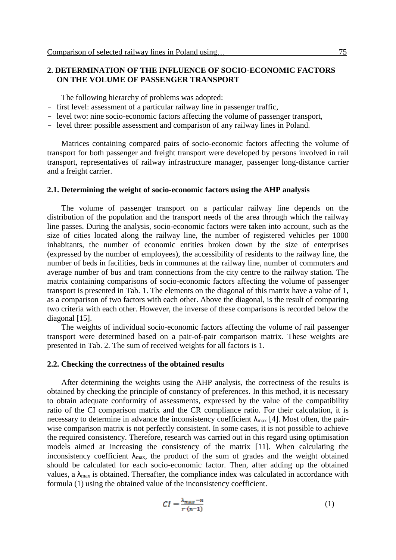## **2. DETERMINATION OF THE INFLUENCE OF SOCIO-ECONOMIC FACTORS ON THE VOLUME OF PASSENGER TRANSPORT**

The following hierarchy of problems was adopted:

- first level: assessment of a particular railway line in passenger traffic,
- level two: nine socio-economic factors affecting the volume of passenger transport,
- level three: possible assessment and comparison of any railway lines in Poland.

Matrices containing compared pairs of socio-economic factors affecting the volume of transport for both passenger and freight transport were developed by persons involved in rail transport, representatives of railway infrastructure manager, passenger long-distance carrier and a freight carrier.

#### **2.1. Determining the weight of socio-economic factors using the AHP analysis**

The volume of passenger transport on a particular railway line depends on the distribution of the population and the transport needs of the area through which the railway line passes. During the analysis, socio-economic factors were taken into account, such as the size of cities located along the railway line, the number of registered vehicles per 1000 inhabitants, the number of economic entities broken down by the size of enterprises (expressed by the number of employees), the accessibility of residents to the railway line, the number of beds in facilities, beds in communes at the railway line, number of commuters and average number of bus and tram connections from the city centre to the railway station. The matrix containing comparisons of socio-economic factors affecting the volume of passenger transport is presented in Tab. 1. The elements on the diagonal of this matrix have a value of 1, as a comparison of two factors with each other. Above the diagonal, is the result of comparing two criteria with each other. However, the inverse of these comparisons is recorded below the diagonal [15].

The weights of individual socio-economic factors affecting the volume of rail passenger transport were determined based on a pair-of-pair comparison matrix. These weights are presented in Tab. 2. The sum of received weights for all factors is 1.

#### **2.2. Checking the correctness of the obtained results**

After determining the weights using the AHP analysis, the correctness of the results is obtained by checking the principle of constancy of preferences. In this method, it is necessary to obtain adequate conformity of assessments, expressed by the value of the compatibility ratio of the CI comparison matrix and the CR compliance ratio. For their calculation, it is necessary to determine in advance the inconsistency coefficient  $\lambda_{\text{max}}$  [4]. Most often, the pairwise comparison matrix is not perfectly consistent. In some cases, it is not possible to achieve the required consistency. Therefore, research was carried out in this regard using optimisation models aimed at increasing the consistency of the matrix [11]. When calculating the inconsistency coefficient  $\lambda_{\text{max}}$ , the product of the sum of grades and the weight obtained should be calculated for each socio-economic factor. Then, after adding up the obtained values, a  $\lambda_{\text{max}}$  is obtained. Thereafter, the compliance index was calculated in accordance with formula (1) using the obtained value of the inconsistency coefficient.

$$
CI = \frac{\lambda_{max} - n}{r \cdot (n-1)}\tag{1}
$$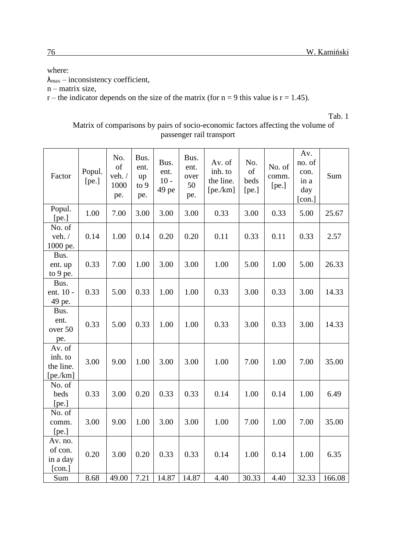# where:

 $\lambda_{\text{max}}$  – inconsistency coefficient,

n – matrix size,

 $r$  – the indicator depends on the size of the matrix (for  $n = 9$  this value is  $r = 1.45$ ).

Tab. 1

| Factor                                    | Popul.<br>[pe.] | No.<br>of<br>veh./<br>1000<br>pe. | Bus.<br>ent.<br>up<br>to 9<br>pe. | Bus.<br>ent.<br>$10 -$<br>49 pe | Bus.<br>ent.<br>over<br>50<br>pe. | Av. of<br>inh. to<br>the line.<br>[pe/km] | No.<br>of<br>beds<br>[pe.] | No. of<br>comm.<br>[pe.] | Av.<br>no. of<br>con.<br>in a<br>day<br>[con.] | Sum    |
|-------------------------------------------|-----------------|-----------------------------------|-----------------------------------|---------------------------------|-----------------------------------|-------------------------------------------|----------------------------|--------------------------|------------------------------------------------|--------|
| Popul.<br>[pe.]                           | 1.00            | 7.00                              | 3.00                              | 3.00                            | 3.00                              | 0.33                                      | 3.00                       | 0.33                     | 5.00                                           | 25.67  |
| No. of<br>veh./<br>1000 pe.               | 0.14            | 1.00                              | 0.14                              | 0.20                            | 0.20                              | 0.11                                      | 0.33                       | 0.11                     | 0.33                                           | 2.57   |
| Bus.<br>ent. up<br>to 9 pe.               | 0.33            | 7.00                              | 1.00                              | 3.00                            | 3.00                              | 1.00                                      | 5.00                       | 1.00                     | 5.00                                           | 26.33  |
| Bus.<br>ent. 10 -<br>49 pe.               | 0.33            | 5.00                              | 0.33                              | 1.00                            | 1.00                              | 0.33                                      | 3.00                       | 0.33                     | 3.00                                           | 14.33  |
| Bus.<br>ent.<br>over 50<br>pe.            | 0.33            | 5.00                              | 0.33                              | 1.00                            | 1.00                              | 0.33                                      | 3.00                       | 0.33                     | 3.00                                           | 14.33  |
| Av. of<br>inh. to<br>the line.<br>[pe/km] | 3.00            | 9.00                              | 1.00                              | 3.00                            | 3.00                              | 1.00                                      | 7.00                       | 1.00                     | 7.00                                           | 35.00  |
| No. of<br>beds<br>[pe.]                   | 0.33            | 3.00                              | 0.20                              | 0.33                            | 0.33                              | 0.14                                      | 1.00                       | 0.14                     | 1.00                                           | 6.49   |
| No. of<br>comm.<br>[pe.]                  | 3.00            | 9.00                              | 1.00                              | 3.00                            | 3.00                              | 1.00                                      | 7.00                       | 1.00                     | 7.00                                           | 35.00  |
| Av. no.<br>of con.<br>in a day<br>[con.]  | 0.20            | 3.00                              | 0.20                              | 0.33                            | 0.33                              | 0.14                                      | 1.00                       | 0.14                     | 1.00                                           | 6.35   |
| Sum                                       | 8.68            | 49.00                             | 7.21                              | 14.87                           | 14.87                             | 4.40                                      | 30.33                      | 4.40                     | 32.33                                          | 166.08 |

## Matrix of comparisons by pairs of socio-economic factors affecting the volume of passenger rail transport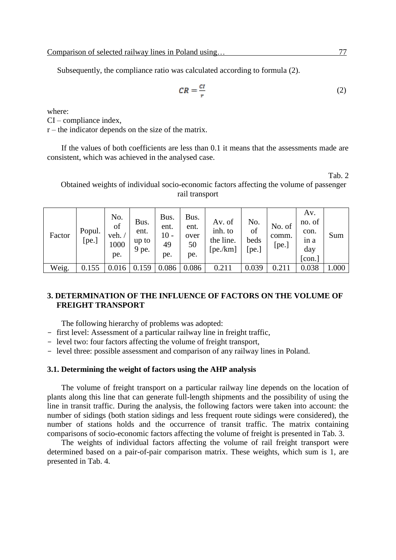Subsequently, the compliance ratio was calculated according to formula (2).

$$
CR = \frac{cI}{r} \tag{2}
$$

where:

CI – compliance index,

 $r$  – the indicator depends on the size of the matrix.

If the values of both coefficients are less than 0.1 it means that the assessments made are consistent, which was achieved in the analysed case.

Tab. 2

Obtained weights of individual socio-economic factors affecting the volume of passenger rail transport

| Factor | Popul.<br>[pe.] | No.<br>of<br>veh.<br>1000<br>pe. | Bus.<br>ent.<br>up to<br>9 pe. | Bus.<br>ent.<br>$10 -$<br>49<br>pe. | Bus.<br>ent.<br>over<br>50<br>pe. | Av. of<br>inh. to<br>the line.<br>[pe/km] | No.<br>of<br>beds<br>[pe.] | No. of<br>comm.<br>[pe.] | Av.<br>no. of<br>con.<br>in a<br>day<br>[con.] | Sum   |
|--------|-----------------|----------------------------------|--------------------------------|-------------------------------------|-----------------------------------|-------------------------------------------|----------------------------|--------------------------|------------------------------------------------|-------|
| Weig.  | 0.155           |                                  |                                | 0.086                               | 0.086                             | 0.211                                     | 0.039                      |                          | 0.038                                          | 1.000 |

## **3. DETERMINATION OF THE INFLUENCE OF FACTORS ON THE VOLUME OF FREIGHT TRANSPORT**

The following hierarchy of problems was adopted:

- first level: Assessment of a particular railway line in freight traffic,
- level two: four factors affecting the volume of freight transport,
- level three: possible assessment and comparison of any railway lines in Poland.

### **3.1. Determining the weight of factors using the AHP analysis**

The volume of freight transport on a particular railway line depends on the location of plants along this line that can generate full-length shipments and the possibility of using the line in transit traffic. During the analysis, the following factors were taken into account: the number of sidings (both station sidings and less frequent route sidings were considered), the number of stations holds and the occurrence of transit traffic. The matrix containing comparisons of socio-economic factors affecting the volume of freight is presented in Tab. 3.

The weights of individual factors affecting the volume of rail freight transport were determined based on a pair-of-pair comparison matrix. These weights, which sum is 1, are presented in Tab. 4.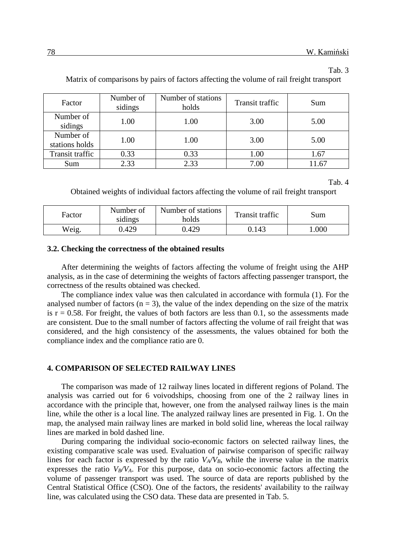#### Tab. 3

Factor Number of sidings Number of stations  $holds$  Transit traffic Sum Number of amber of 1.00 1.00 3.00 5.00 Number of  $\frac{1}{\text{Nathoot of}}$  1.00 1.00 3.00 5.00 Transit traffic 1 0.33 1.00 1.67 Sum | 2.33 | 2.33 | 7.00 | 11.67

Matrix of comparisons by pairs of factors affecting the volume of rail freight transport

Tab. 4

Obtained weights of individual factors affecting the volume of rail freight transport

| Factor | Number of<br>sidings | Number of stations<br>holds | <b>Transit traffic</b> | Sum  |
|--------|----------------------|-----------------------------|------------------------|------|
| Weig.  | ).429                | 0.429                       | 0.143                  | .000 |

#### **3.2. Checking the correctness of the obtained results**

After determining the weights of factors affecting the volume of freight using the AHP analysis, as in the case of determining the weights of factors affecting passenger transport, the correctness of the results obtained was checked.

The compliance index value was then calculated in accordance with formula (1). For the analysed number of factors  $(n = 3)$ , the value of the index depending on the size of the matrix is  $r = 0.58$ . For freight, the values of both factors are less than 0.1, so the assessments made are consistent. Due to the small number of factors affecting the volume of rail freight that was considered, and the high consistency of the assessments, the values obtained for both the compliance index and the compliance ratio are 0.

### **4. COMPARISON OF SELECTED RAILWAY LINES**

The comparison was made of 12 railway lines located in different regions of Poland. The analysis was carried out for 6 voivodships, choosing from one of the 2 railway lines in accordance with the principle that, however, one from the analysed railway lines is the main line, while the other is a local line. The analyzed railway lines are presented in Fig. 1. On the map, the analysed main railway lines are marked in bold solid line, whereas the local railway lines are marked in bold dashed line.

During comparing the individual socio-economic factors on selected railway lines, the existing comparative scale was used. Evaluation of pairwise comparison of specific railway lines for each factor is expressed by the ratio  $V_A/V_B$ , while the inverse value in the matrix expresses the ratio  $V_B/V_A$ . For this purpose, data on socio-economic factors affecting the volume of passenger transport was used. The source of data are reports published by the Central Statistical Office (CSO). One of the factors, the residents' availability to the railway line, was calculated using the CSO data. These data are presented in Tab. 5.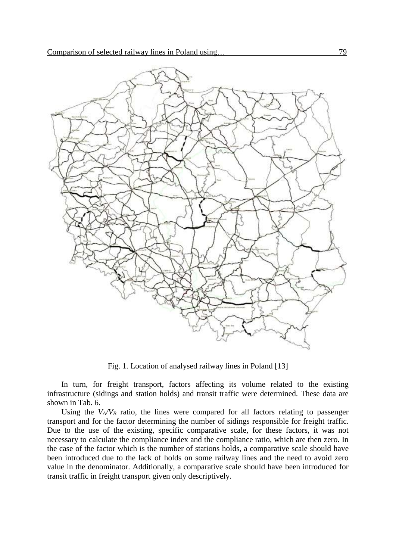

Fig. 1. Location of analysed railway lines in Poland [13]

In turn, for freight transport, factors affecting its volume related to the existing infrastructure (sidings and station holds) and transit traffic were determined. These data are shown in Tab. 6.

Using the  $V_A/V_B$  ratio, the lines were compared for all factors relating to passenger transport and for the factor determining the number of sidings responsible for freight traffic. Due to the use of the existing, specific comparative scale, for these factors, it was not necessary to calculate the compliance index and the compliance ratio, which are then zero. In the case of the factor which is the number of stations holds, a comparative scale should have been introduced due to the lack of holds on some railway lines and the need to avoid zero value in the denominator. Additionally, a comparative scale should have been introduced for transit traffic in freight transport given only descriptively.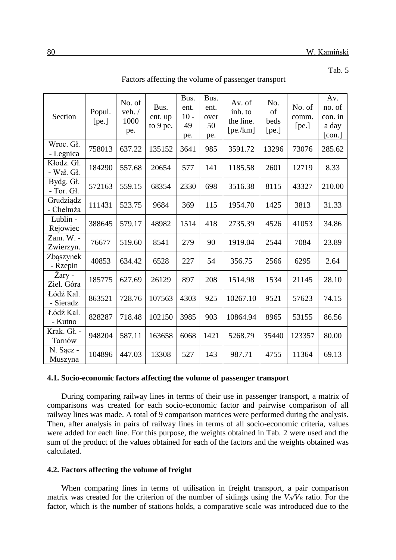Tab. 5

| Section                   | Popul.<br>[pe.] | No. of<br>veh. /<br>1000<br>pe. | Bus.<br>ent. up<br>to $9$ pe. | Bus.<br>ent.<br>$10 -$<br>49<br>pe. | Bus.<br>ent.<br>over<br>50<br>pe. | Av. of<br>inh. to<br>the line.<br>[pe/km] | No.<br>of<br>beds<br>[pe.] | No. of<br>comm.<br>[pe.] | Av.<br>no. of<br>con. in<br>a day<br>[con.] |
|---------------------------|-----------------|---------------------------------|-------------------------------|-------------------------------------|-----------------------------------|-------------------------------------------|----------------------------|--------------------------|---------------------------------------------|
| Wroc. Gł.<br>- Legnica    | 758013          | 637.22                          | 135152                        | 3641                                | 985                               | 3591.72                                   | 13296                      | 73076                    | 285.62                                      |
| Kłodz. Gł.<br>- Wał. Gł.  | 184290          | 557.68                          | 20654                         | 577                                 | 141                               | 1185.58                                   | 2601                       | 12719                    | 8.33                                        |
| Bydg. Gł.<br>$-$ Tor. Gł. | 572163          | 559.15                          | 68354                         | 2330                                | 698                               | 3516.38                                   | 8115                       | 43327                    | 210.00                                      |
| Grudziądz<br>- Chełmża    | 111431          | 523.75                          | 9684                          | 369                                 | 115                               | 1954.70                                   | 1425                       | 3813                     | 31.33                                       |
| Lublin -<br>Rejowiec      | 388645          | 579.17                          | 48982                         | 1514                                | 418                               | 2735.39                                   | 4526                       | 41053                    | 34.86                                       |
| Zam. W. -<br>Zwierzyn.    | 76677           | 519.60                          | 8541                          | 279                                 | 90                                | 1919.04                                   | 2544                       | 7084                     | 23.89                                       |
| Zbąszynek<br>- Rzepin     | 40853           | 634.42                          | 6528                          | 227                                 | 54                                | 356.75                                    | 2566                       | 6295                     | 2.64                                        |
| Żary -<br>Ziel. Góra      | 185775          | 627.69                          | 26129                         | 897                                 | 208                               | 1514.98                                   | 1534                       | 21145                    | 28.10                                       |
| Łódź Kal.<br>- Sieradz    | 863521          | 728.76                          | 107563                        | 4303                                | 925                               | 10267.10                                  | 9521                       | 57623                    | 74.15                                       |
| Łódź Kal.<br>- Kutno      | 828287          | 718.48                          | 102150                        | 3985                                | 903                               | 10864.94                                  | 8965                       | 53155                    | 86.56                                       |
| Krak. Gł. -<br>Tarnów     | 948204          | 587.11                          | 163658                        | 6068                                | 1421                              | 5268.79                                   | 35440                      | 123357                   | 80.00                                       |
| N. Sącz -<br>Muszyna      | 104896          | 447.03                          | 13308                         | 527                                 | 143                               | 987.71                                    | 4755                       | 11364                    | 69.13                                       |

Factors affecting the volume of passenger transport

### **4.1. Socio-economic factors affecting the volume of passenger transport**

During comparing railway lines in terms of their use in passenger transport, a matrix of comparisons was created for each socio-economic factor and pairwise comparison of all railway lines was made. A total of 9 comparison matrices were performed during the analysis. Then, after analysis in pairs of railway lines in terms of all socio-economic criteria, values were added for each line. For this purpose, the weights obtained in Tab. 2 were used and the sum of the product of the values obtained for each of the factors and the weights obtained was calculated.

## **4.2. Factors affecting the volume of freight**

When comparing lines in terms of utilisation in freight transport, a pair comparison matrix was created for the criterion of the number of sidings using the  $V_A/V_B$  ratio. For the factor, which is the number of stations holds, a comparative scale was introduced due to the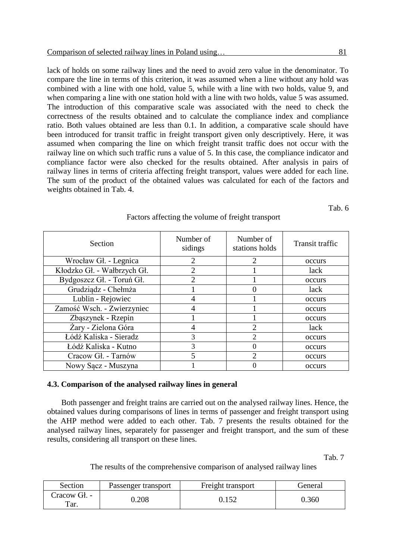lack of holds on some railway lines and the need to avoid zero value in the denominator. To compare the line in terms of this criterion, it was assumed when a line without any hold was combined with a line with one hold, value 5, while with a line with two holds, value 9, and when comparing a line with one station hold with a line with two holds, value 5 was assumed. The introduction of this comparative scale was associated with the need to check the correctness of the results obtained and to calculate the compliance index and compliance ratio. Both values obtained are less than 0.1. In addition, a comparative scale should have been introduced for transit traffic in freight transport given only descriptively. Here, it was assumed when comparing the line on which freight transit traffic does not occur with the railway line on which such traffic runs a value of 5. In this case, the compliance indicator and compliance factor were also checked for the results obtained. After analysis in pairs of railway lines in terms of criteria affecting freight transport, values were added for each line. The sum of the product of the obtained values was calculated for each of the factors and weights obtained in Tab. 4.

Tab. 6

| <b>Section</b>              | Number of<br>sidings | Number of<br>stations holds | Transit traffic |
|-----------------------------|----------------------|-----------------------------|-----------------|
| Wrocław Gł. - Legnica       | $\overline{2}$       | $\overline{2}$              | occurs          |
| Kłodzko Gł. - Wałbrzych Gł. | $\overline{2}$       |                             | lack            |
| Bydgoszcz Gł. - Toruń Gł.   | $\overline{2}$       |                             | occurs          |
| Grudziądz - Chełmża         |                      |                             | lack            |
| Lublin - Rejowiec           | 4                    |                             | occurs          |
| Zamość Wsch. - Zwierzyniec  | 4                    |                             | occurs          |
| Zbąszynek - Rzepin          |                      |                             | occurs          |
| Żary - Zielona Góra         | 4                    | $\overline{2}$              | lack            |
| Łódź Kaliska - Sieradz      | 3                    | $\overline{2}$              | occurs          |
| Łódź Kaliska - Kutno        | 3                    | 0                           | occurs          |
| Cracow Gł. - Tarnów         | 5                    | $\mathcal{D}_{\mathcal{A}}$ | occurs          |
| Nowy Sacz - Muszyna         |                      |                             | occurs          |

## Factors affecting the volume of freight transport

### **4.3. Comparison of the analysed railway lines in general**

Both passenger and freight trains are carried out on the analysed railway lines. Hence, the obtained values during comparisons of lines in terms of passenger and freight transport using the AHP method were added to each other. Tab. 7 presents the results obtained for the analysed railway lines, separately for passenger and freight transport, and the sum of these results, considering all transport on these lines.

Tab. 7

The results of the comprehensive comparison of analysed railway lines

| Section              | Passenger transport | Freight transport | General |
|----------------------|---------------------|-------------------|---------|
| Cracow Gł. -<br>Tar. | 0.208               | $15^\circ$        | 0.360   |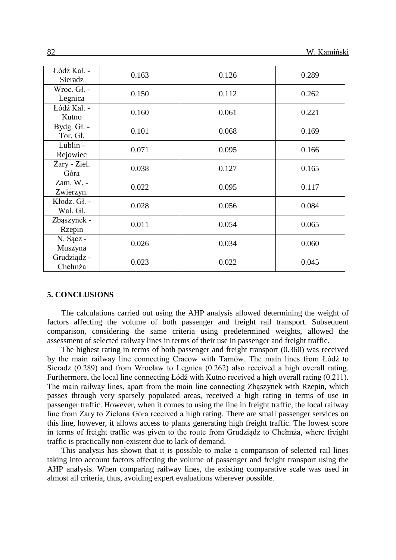| Łódź Kal. -<br>Sieradz   | 0.163 | 0.126 | 0.289 |
|--------------------------|-------|-------|-------|
| Wroc. Gł. -<br>Legnica   | 0.150 | 0.112 | 0.262 |
| Łódź Kal. -<br>Kutno     | 0.160 | 0.061 | 0.221 |
| Bydg. Gł. -<br>Tor. Gł.  | 0.101 | 0.068 | 0.169 |
| Lublin -<br>Rejowiec     | 0.071 | 0.095 | 0.166 |
| Żary - Ziel.<br>Góra     | 0.038 | 0.127 | 0.165 |
| Zam. W. -<br>Zwierzyn.   | 0.022 | 0.095 | 0.117 |
| Kłodz. Gł. -<br>Wał. Gł. | 0.028 | 0.056 | 0.084 |
| Zbąszynek -<br>Rzepin    | 0.011 | 0.054 | 0.065 |
| N. Sącz -<br>Muszyna     | 0.026 | 0.034 | 0.060 |
| Grudziądz -<br>Chełmża   | 0.023 | 0.022 | 0.045 |

#### **5. CONCLUSIONS**

The calculations carried out using the AHP analysis allowed determining the weight of factors affecting the volume of both passenger and freight rail transport. Subsequent comparison, considering the same criteria using predetermined weights, allowed the assessment of selected railway lines in terms of their use in passenger and freight traffic.

The highest rating in terms of both passenger and freight transport (0.360) was received by the main railway line connecting Cracow with Tarnów. The main lines from Łódź to Sieradz (0.289) and from Wrocław to Legnica (0.262) also received a high overall rating. Furthermore, the local line connecting Łódź with Kutno received a high overall rating (0.211). The main railway lines, apart from the main line connecting Zbąszynek with Rzepin, which passes through very sparsely populated areas, received a high rating in terms of use in passenger traffic. However, when it comes to using the line in freight traffic, the local railway line from Żary to Zielona Góra received a high rating. There are small passenger services on this line, however, it allows access to plants generating high freight traffic. The lowest score in terms of freight traffic was given to the route from Grudziądz to Chełmża, where freight traffic is practically non-existent due to lack of demand.

This analysis has shown that it is possible to make a comparison of selected rail lines taking into account factors affecting the volume of passenger and freight transport using the AHP analysis. When comparing railway lines, the existing comparative scale was used in almost all criteria, thus, avoiding expert evaluations wherever possible.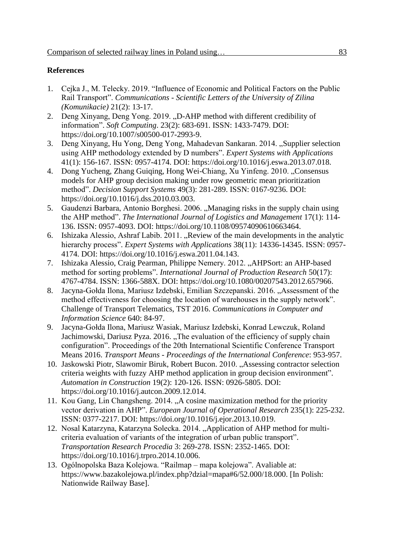# **References**

- 1. Cejka J., M. Telecky. 2019. "Influence of Economic and Political Factors on the Public Rail Transport". *Communications - Scientific Letters of the University of Zilina (Komunikacie)* 21(2): 13-17.
- 2. Deng Xinyang, Deng Yong. 2019. "D-AHP method with different credibility of information". *Soft Computing*. 23(2): 683-691. ISSN: 1433-7479. DOI: https://doi.org/10.1007/s00500-017-2993-9.
- 3. Deng Xinyang, Hu Yong, Deng Yong, Mahadevan Sankaran, 2014. "Supplier selection using AHP methodology extended by D numbers". *Expert Systems with Applications* 41(1): 156-167. ISSN: 0957-4174. DOI: https://doi.org/10.1016/j.eswa.2013.07.018.
- 4. Dong Yucheng, Zhang Guiqing, Hong Wei-Chiang, Xu Yinfeng. 2010. "Consensus models for AHP group decision making under row geometric mean prioritization method". *Decision Support Systems* 49(3): 281-289. ISSN: 0167-9236. DOI: https://doi.org/10.1016/j.dss.2010.03.003.
- 5. Gaudenzi Barbara, Antonio Borghesi. 2006. "Managing risks in the supply chain using the AHP method". *The International Journal of Logistics and Management* 17(1): 114- 136. ISSN: 0957-4093. DOI: https://doi.org/10.1108/09574090610663464.
- 6. Ishizaka Alessio, Ashraf Labib. 2011. "Review of the main developments in the analytic hierarchy process". *Expert Systems with Applications* 38(11): 14336-14345. ISSN: 0957- 4174. DOI: https://doi.org/10.1016/j.eswa.2011.04.143.
- 7. Ishizaka Alessio, Craig Pearman, Philippe Nemery. 2012. "AHPSort: an AHP-based method for sorting problems". *International Journal of Production Research* 50(17): 4767-4784. ISSN: 1366-588X. DOI: https://doi.org/10.1080/00207543.2012.657966.
- 8. Jacyna-Gołda Ilona, Mariusz Izdebski, Emilian Szczepanski, 2016. "Assessment of the method effectiveness for choosing the location of warehouses in the supply network". Challenge of Transport Telematics, TST 2016. *Communications in Computer and Information Science* 640: 84-97.
- 9. Jacyna-Gołda Ilona, Mariusz Wasiak, Mariusz Izdebski, Konrad Lewczuk, Roland Jachimowski, Dariusz Pyza. 2016. "The evaluation of the efficiency of supply chain configuration". Proceedings of the 20th International Scientific Conference Transport Means 2016. *Transport Means - Proceedings of the International Conference*: 953-957.
- 10. Jaskowski Piotr, Slawomir Biruk, Robert Bucon. 2010. "Assessing contractor selection criteria weights with fuzzy AHP method application in group decision environment". *Automation in Construction* 19(2): 120-126. ISSN: 0926-5805. DOI: https://doi.org/10.1016/j.autcon.2009.12.014.
- 11. Kou Gang, Lin Changsheng. 2014. "A cosine maximization method for the priority vector derivation in AHP". *European Journal of Operational Research* 235(1): 225-232. ISSN: 0377-2217. DOI: https://doi.org/10.1016/j.ejor.2013.10.019.
- 12. Nosal Katarzyna, Katarzyna Solecka. 2014. "Application of AHP method for multicriteria evaluation of variants of the integration of urban public transport". *Transportation Research Procedia* 3: 269-278. ISSN: 2352-1465. DOI: https://doi.org/10.1016/j.trpro.2014.10.006.
- 13. Ogólnopolska Baza Kolejowa. "Railmap mapa kolejowa". Avaliable at: https://www.bazakolejowa.pl/index.php?dzial=mapa#6/52.000/18.000. [In Polish: Nationwide Railway Base].